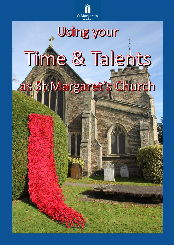

# Using your Time & Talents as St Margaret's Church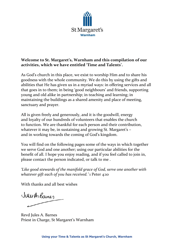

# **Welcome to St. Margaret's, Warnham and this compilation of our activities, which we have entitled 'Time and Talents'.**

As God's church in this place, we exist to worship Him and to share his goodness with the whole community. We do this by using the gifts and abilities that He has given us in a myriad ways: in offering services and all that goes in to them; in being 'good neighbours' and friends, supporting young and old alike in partnership; in teaching and learning; in maintaining the buildings as a shared amenity and place of meeting, sanctuary and prayer.

All is given freely and generously, and it is the goodwill, energy and loyalty of our hundreds of volunteers that enables the church to function. We are thankful for each person and their contribution, whatever it may be, in sustaining and growing St. Margaret's – and in working towards the coming of God's kingdom.

You will find on the following pages some of the ways in which together we serve God and one another; using our particular abilities for the benefit of all. I hope you enjoy reading, and if you feel called to join in, please contact the person indicated, or talk to me .

*'Like good stewards of the manifold grace of God, serve one another with whatever gift each of you has received.'* 1 Peter 4:10

With thanks and all best wishes

Jules Arkames

Revd Jules A. Barnes Priest in Charge, St Margaret's Warnham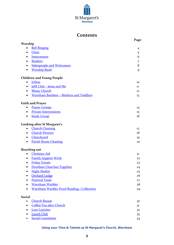

# **Contents**

|                                                     | Page           |
|-----------------------------------------------------|----------------|
| Worship                                             |                |
| <b>Bell Ringing</b><br>$\bullet$                    | 4              |
| Choir<br>٠                                          | 5              |
| <b>Intercessors</b><br>٠                            | 6              |
| Readers                                             | 7              |
| <b>Sidespeople and Welcomers</b><br>٠               | 8              |
| <b>Worship Band</b><br>$\bullet$                    | 9              |
| <b>Children and Young People</b>                    |                |
| <b>Icthus</b>                                       | 10             |
| <u>JaM Club - Jesus and Me</u><br>$\bullet$         | 11             |
| <b>Messy Church</b><br>٠                            | 12             |
| Warnham Bambies - Mothers and Toddlers<br>$\bullet$ | 13             |
| <b>Faith and Prayer</b>                             |                |
| <b>Prayer Groups</b><br>$\bullet$                   | 14             |
| <b>Private Intercessions</b><br>$\bullet$           | 15             |
| <b>Study Group</b><br>$\bullet$                     | 16             |
| Looking after St Margaret's                         |                |
| <b>Church Cleaning</b><br>$\bullet$                 | 17             |
| <b>Church Flowers</b><br>٠                          | 18             |
| Churchyard<br>$\bullet$                             | 19             |
| <b>Parish Room Cleaning</b><br>$\bullet$            | 20             |
| <b>Reaching out</b>                                 |                |
| <b>Christian Aid</b><br>$\bullet$                   | 21             |
| <b>Family Support Work</b><br>٠                     | 22             |
| <b>Friday Forum</b><br>٠                            | 23             |
| <b>Horsham Churches Together</b><br>$\bullet$       | 24             |
| <b>Night Shelter</b><br>٠                           | 25             |
| <b>Orchard Lodge</b>                                | 26             |
| <b>Pastoral Team</b>                                | 27             |
| <b>Warnham Warbler</b>                              | 28             |
| <b>Warnham Warbler Proof Reading / Collection</b>   | 29             |
| <b>Social</b>                                       |                |
| <b>Church Bazaar</b><br>$\bullet$                   | 30             |
| Coffee/Tea after Church<br>$\bullet$                | 3 <sup>1</sup> |
| <b>Lent Lunches</b>                                 | 3 <sup>2</sup> |
| <b>Lunch Club</b>                                   | 33             |
| <b>Social Committee</b>                             | 34             |

#### **Using your Time & Talents as St Margaret's Church, Warnham**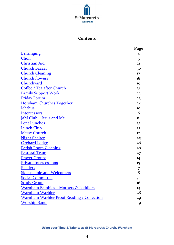

### **Contents**

|                                                   | Page           |
|---------------------------------------------------|----------------|
| <b>Bellringing</b>                                | $\overline{4}$ |
| Choir                                             | 5              |
| <b>Christian Aid</b>                              | 21             |
| <u>Church Bazaar</u>                              | 30             |
| <b>Church Cleaning</b>                            | 17             |
| <b>Church flowers</b>                             | 18             |
| <b>Churchyard</b>                                 | 19             |
| Coffee / Tea after Church                         | 31             |
| <b>Family Support Work</b>                        | 22             |
| <b>Friday Forum</b>                               | 23             |
| <b>Horsham Churches Together</b>                  | 24             |
| <b>Ichthus</b>                                    | 10             |
| <b>Intercessors</b>                               | 6              |
| <u><b>JaM Club - Jesus and Me</b></u>             | 11             |
| <b>Lent Lunches</b>                               | 32             |
| <b>Lunch Club</b>                                 | 33             |
| <b>Messy Church</b>                               | 12             |
| <b>Night Shelter</b>                              | 25             |
| <b>Orchard Lodge</b>                              | 26             |
| <b>Parish Room Cleaning</b>                       | 20             |
| <b>Pastoral Team</b>                              | 27             |
| <b>Prayer Groups</b>                              | 14             |
| <b>Private Intercessions</b>                      | 15             |
| <b>Readers</b>                                    | 7              |
| <b>Sidespeople and Welcomers</b>                  | 8              |
| <b>Social Committee</b>                           | 34             |
| <b>Study Group</b>                                | 16             |
| <u> Warnham Bambies – Mothers &amp; Toddlers</u>  | 13             |
| <b>Warnham Warbler</b>                            | 28             |
| <b>Warnham Warbler Proof Reading / Collection</b> | 29             |
| <b>Worship Band</b>                               | 9              |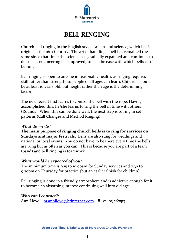

# **BELL RINGING**

<span id="page-4-0"></span>Church bell ringing in the English style is an art and science, which has its origins in the 16th Century. The art of handling a bell has remained the same since that time; the science has gradually expanded and continues to do so – as engineering has improved, so has the ease with which bells can be rung.

Bell ringing is open to anyone in reasonable health, as ringing requires skill rather than strength, so people of all ages can learn. Children should be at least 10 years old, but height rather than age is the determining factor.

The new recruit first learns to control the bell with the rope. Having accomplished this, he/she learns to ring the bell in time with others (Rounds). When this can be done well, the next step is to ring in set patterns (Call Changes and Method Ringing).

# *What do we do?*

**The main purpose of ringing church bells is to ring for services on Sundays and major festivals.** Bells are also rung for weddings and national or local events. You do not have to be there every time the bells are rung but as often as you can. This is because you are part of a team (band) and bell ringing is teamwork.

# *What would be expected of you?*

The minimum time is 9.15 to 10.00am for Sunday services and 7.30 to 9.30pm on Thursday for practice (but an earlier finish for children).

Bell ringing is done in a friendly atmosphere and is addictive enough for it to become an absorbing interest continuing well into old age.

# *Who can I contact?:*

Ann Lloyd [m.annlloyd@btinternet.com](mailto:m.annlloyd@btinternet.com)  $\bullet$  01403 267513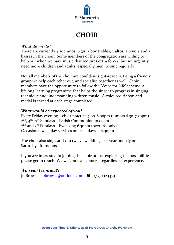

# **CHOIR**

### <span id="page-5-0"></span>*What do we do?*

There are currently 4 sopranos, 6 girl / boy trebles, 2 altos, 2 tenors and 3 basses in the choir. Some members of the congregation are willing to help out when we have music that requires extra forces, but we urgently need more children and adults, especially men, to sing regularly.

Not all members of the choir are confident sight-readers. Being a friendly group we help each other out, and socialise together as well. Choir members have the opportunity to follow the 'Voice for Life' scheme, a lifelong learning programme that helps the singer to progress in singing technique and understanding written music. A coloured ribbon and medal is earned at each stage completed.

# *What would be expected of you?*

Every Friday evening – choir practice 7.00-8.00pm (juniors 6.30-7.30pm) 2<sup>nd</sup>, 4<sup>th</sup>, 5<sup>th</sup> Sundays – Parish Communion 10.00am 2<sup>nd</sup> and 3<sup>rd</sup> Sundays – Evensong 6.30pm (over 16s only) Occasional weekday services on feast days at 7.30pm

The choir also sings at six to twelve weddings per year, mostly on Saturday afternoons.

If you are interested in joining the choir or just exploring the possibilities, please get in touch. We welcome all comers, regardless of experience.

# *Who can I contact?***:**

Jo Browse:  $\frac{\text{jobrowse@outlook.com}}{\text{000}}$  a 07530 123473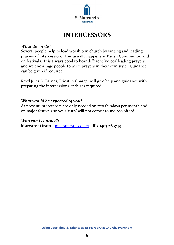

# **INTERCESSORS**

#### <span id="page-6-0"></span>*What do we do?*

Several people help to lead worship in church by writing and leading prayers of intercession. This usually happens at Parish Communion and on festivals. It is always good to hear different 'voices' leading prayers, and we encourage people to write prayers in their own style. Guidance can be given if required.

Revd Jules A. Barnes, Priest in Charge, will give help and guidance with preparing the intercessions, if this is required.

### *What would be expected of you?*

At present intercessors are only needed on two Sundays per month and on major festivals so your 'turn' will not come around too often!

#### *Who can I contact?***:**

**Margaret Oram** [meoram@tesco.net](mailto:meoram@tesco.net) **01403 269743**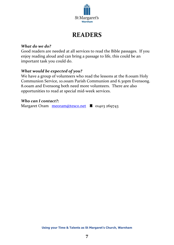

# **READERS**

### <span id="page-7-0"></span>*What do we do?*

Good readers are needed at all services to read the Bible passages. If you enjoy reading aloud and can bring a passage to life, this could be an important task you could do.

# *What would be expected of you?*

We have a group of volunteers who read the lessons at the 8.00am Holy Communion Service, 10.00am Parish Communion and 6.30pm Evensong. 8.00am and Evensong both need more volunteers. There are also opportunities to read at special mid-week services.

# *Who can I contact?:*

Margaret Oram [meoram@tesco.net](mailto:meoram@tesco.net) <sup>2</sup> 01403 269743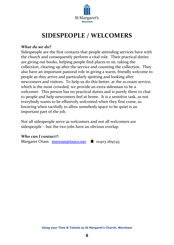

# **SIDESPEOPLE / WELCOMERS**

#### <span id="page-8-0"></span>*What do we do?*

Sidespeople are the first contacts that people attending services have with the church and consequently perform a vital role. Their practical duties are giving out books, helping people find places to sit, taking the collection, clearing up after the service and counting the collection. They also have an important pastoral role in giving a warm, friendly welcome to people as they arrive and particularly spotting and looking after newcomers and visitors. To help us do this better, at the 10.00am service, which is the most crowded, we provide an extra sidesman to be a welcomer. This person has no practical duties and is purely there to chat to people and help newcomers feel at home. It is a sensitive task, as not everybody wants to be effusively welcomed when they first come, so knowing when tactfully to allow somebody space to be quiet is an important part of the job.

Not all sidespeople serve as welcomers and not all welcomers are sidespeople – but the two jobs have an obvious overlap.

# *Who can I contact?:*

Margaret Oram [meoram@tesco.net](mailto:meoram@tesco.net)  $\bullet$  01403 269743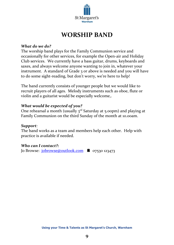

# **WORSHIP BAND**

### <span id="page-9-0"></span>*What do we do?*

The worship band plays for the Family Communion service and occasionally for other services, for example the Open-air and Holiday Club services. We currently have a bass guitar, drums, keyboards and saxes, and always welcome anyone wanting to join in, whatever your instrument. A standard of Grade 3 or above is needed and you will have to do some sight-reading, but don't worry, we're here to help!

The band currently consists of younger people but we would like to recruit players of all ages. Melody instruments such as oboe, flute or violin and a guitarist would be especially welcome,.

### *What would be expected of you?*

One rehearsal a month (usually 3<sup>rd</sup> Saturday at 5.00pm) and playing at Family Communion on the third Sunday of the month at 10.00am.

#### *Support:*

The band works as a team and members help each other. Help with practice is available if needed.

# *Who can I contact?:*

Jo Browse:  $jobrowse@outlook.com$   $\bullet$  07530 123473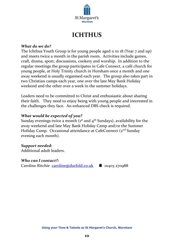

# **ICHTHUS**

#### <span id="page-10-0"></span>*What do we do?*

The Ichthus Youth Group is for young people aged 11 to 18 (Year 7 and up) and meets twice a month in the parish room. Activities include games, craft, drama, sport, discussions, cookery and worship. In addition to the regular meetings the group participates in Cafe Connect, a café church for young people, at Holy Trinity church in Horsham once a month and one away weekend is usually organised each year. The group also takes part in two Christian camps each year, one over the late May Bank Holiday weekend and the other over a week in the summer holidays.

Leaders need to be committed to Christ and enthusiastic about sharing their faith. They need to enjoy being with young people and interested in the challenges they face. An enhanced DBS check is required.

### *What would be expected of you?*

Sunday evenings twice a month  $(1<sup>st</sup>$  and  $4<sup>th</sup>$  Sundays), availability for the away weekend and late May Bank Holiday Camp and/or the Summer Holiday Camp. Occasional attendance at CafeConnect (2<sup>nd</sup> Sunday evening each month).

# *Support needed:*

Additional adult leaders.

#### *Who can I contact?:*

Caroline Ritchie [caroline@durfold.co.uk](mailto:caroline@durfold.co.uk)  $\bullet$  01403 270988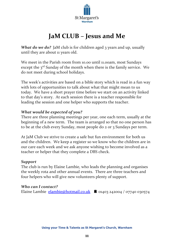

# **JaM CLUB – Jesus and Me**

<span id="page-11-0"></span>*What do we do?* JaM club is for children aged 3 years and up, usually until they are about 11 years old.

We meet in the Parish room from 10.00 until 11.00am, most Sundays except the 3<sup>rd</sup> Sunday of the month when there is the family service. We do not meet during school holidays.

The week's activities are based on a bible story which is read in a fun way with lots of opportunities to talk about what that might mean to us today. We have a short prayer time before we start on an activity linked to that day's story. At each session there is a teacher responsible for leading the session and one helper who supports the teacher.

# *What would be expected of you?*

There are three planning meetings per year, one each term, usually at the beginning of a new term. The team is arranged so that no one person has to be at the club every Sunday, most people do 2 or 3 Sundays per term.

At JaM Club we strive to create a safe but fun environment for both us and the children. We keep a register so we know who the children are in our care each week and we ask anyone wishing to become involved as a teacher or helper that they complete a DBS check.

# *Support*

The club is run by Elaine Lambie, who leads the planning and organises the weekly rota and other annual events. There are three teachers and four helpers who will give new volunteers plenty of support.

# *Who can I contact?*

Elaine Lambie [elambie@hotmail.co.uk](mailto:elambie@hotmail.co.uk)  $\bullet$  01403 242004 / 07740 030574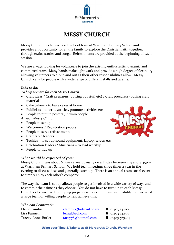

# **MESSY CHURCH**

<span id="page-12-0"></span>Messy Church meets twice each school term at Warnham Primary School and provides an opportunity for all the family to explore the Christian faith together, through crafts, stories and songs. Refreshments are provided at the beginning of each session.

We are always looking for volunteers to join the existing enthusiastic, dynamic and committed team. Many hands make light work and provide a high degree of flexibility allowing volunteers to dip in and out as their other responsibilities allow. Messy Church calls for people with a wide range of different skills and talents.

#### *Jobs to do:*

#### *To help prepare for each Messy Church*

- Craft ideas / Craft preparers (cutting out stuff etc) / Craft procurers (buying craft materials)
- Cake bakers to bake cakes at home
- Publicists to write articles, promote activities etc
- People to put up posters / Admin people
- *At each Messy Church*
- People to set up
- Welcomers / Registration people
- People to serve refreshments
- Craft table leaders
- Techies to set up sound equipment, laptop, screen etc
- Celebration leaders / Musicians to lead worship
- People to tidy up

#### *What would be expected of you?*

Messy Church runs about 6 times a year, usually on a Friday between 3.15 and 4.45pm at Warnham Primary School. We hold team meetings three times a year in the evening to discuss ideas and generally catch up. There is an annual team social event to simply enjoy each other's company!

The way the team is set up allows people to get involved in a wide variety of ways and to commit their time as they choose. You do not have to turn up to each Messy Church or be involved in helping prepare each one. Our aim is flexibility, but we need a large team of willing people to help achieve this.

#### *Who can I contact?:*

Elaine Lambie [elambie@hotmail.co.uk](mailto:elambie@hotmail.co.uk) 
and analysis elambie@hotmail.co.uk

analysis elambie@hotmail.co.uk

analysis elambie@hotmail.co.uk

analysis elambie@hotmail.co.uk

analysis elambie@hotmail.co.uk

analysis elambie@hotm Lisa Funnell  $\text{leinul@aol.com}$  $\text{leinul@aol.com}$  $\text{leinul@aol.com}$  121403 242551 Tracey-Anne Butler [taccy78@hotmail.com](mailto:taccy78@hotmail.com) **6** 01403 563404

- 
- 

#### **Using your Time & Talents as St Margaret's Church, Warnham**

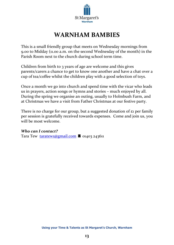

# **WARNHAM BAMBIES**

<span id="page-13-0"></span>This is a small friendly group that meets on Wednesday mornings from 9.00 to Midday (11.00 a.m. on the second Wednesday of the month) in the Parish Room next to the church during school term time.

Children from birth to 3 years of age are welcome and this gives parents/carers a chance to get to know one another and have a chat over a cup of tea/coffee whilst the children play with a good selection of toys.

Once a month we go into church and spend time with the vicar who leads us in prayers, action songs or hymns and stories – much enjoyed by all. During the spring we organise an outing, usually to Holmbush Farm, and at Christmas we have a visit from Father Christmas at our festive party.

There is no charge for our group, but a suggested donation of  $\epsilon_1$  per family per session is gratefully received towards expenses. Come and join us, you will be most welcome.

# *Who can I contact?*

Tara Tew [taratew1@gmail.com](mailto:taratew1@gmail.com)  $\blacksquare$  01403 243611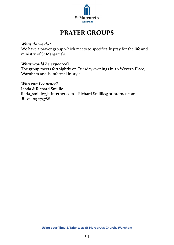

# **PRAYER GROUPS**

### <span id="page-14-0"></span>*What do we do?*

We have a prayer group which meets to specifically pray for the life and ministry of St Margaret's.

### *What would be expected?*

The group meets fortnightly on Tuesday evenings in 20 Wyvern Place, Warnham and is informal in style.

# *Who can I contact?*

Linda & Richard Smillie linda\_smillie@btinternet.com Richard.Smillie@btinternet.com <sup>3</sup> 01403 273788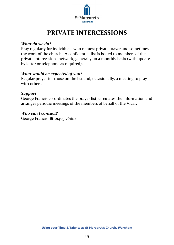

# **PRIVATE INTERCESSIONS**

#### <span id="page-15-0"></span>*What do we do?*

Pray regularly for individuals who request private prayer and sometimes the work of the church. A confidential list is issued to members of the private intercessions network, generally on a monthly basis (with updates by letter or telephone as required).

# *What would be expected of you?*

Regular prayer for those on the list and, occasionally, a meeting to pray with others.

### *Support*

George Francis co-ordinates the prayer list, circulates the information and arranges periodic meetings of the members of behalf of the Vicar.

### *Who can I contact?*

George Francis  $\triangle$  01403 261618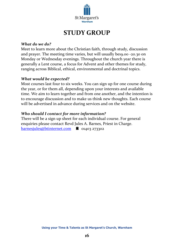

# **STUDY GROUP**

#### <span id="page-16-0"></span>*What do we do?*

Meet to learn more about the Christian faith, through study, discussion and prayer. The meeting time varies, but will usually be19.00 -20.30 on Monday or Wednesday evenings. Throughout the church year there is generally a Lent course, a focus for Advent and other themes for study, ranging across Biblical, ethical, environmental and doctrinal topics.

#### *What would be expected?*

Most courses last four to six weeks. You can sign up for one course during the year, or for them all, depending upon your interests and available time. We aim to learn together and from one another, and the intention is to encourage discussion and to make us think new thoughts. Each course will be advertised in advance during services and on the website.

### *Who should I contact for more information?*

There will be a sign up sheet for each individual course. For general enquiries please contact Revd Jules A. Barnes, Priest in Charge.  $bar$ resjules@btinternet.com  $\bullet$  01403 273302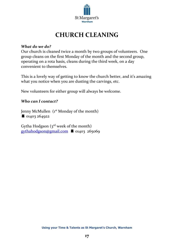

# **CHURCH CLEANING**

#### <span id="page-17-0"></span>*What do we do?*

Our church is cleaned twice a month by two groups of volunteers. One group cleans on the first Monday of the month and the second group, operating on a rota basis, cleans during the third week, on a day convenient to themselves.

This is a lovely way of getting to know the church better, and it's amazing what you notice when you are dusting the carvings, etc.

New volunteers for either group will always be welcome.

# *Who can I contact?*

Jenny McMullen (1<sup>st</sup> Monday of the month) **6** 01403 264922

Gytha Hodgson  $(s<sup>rd</sup>$  week of the month)  $gythahodgson@gmail.com$  01403 265069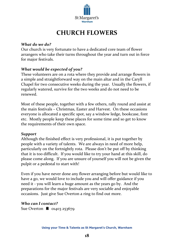

# **CHURCH FLOWERS**

### <span id="page-18-0"></span>*What do we do?*

Our church is very fortunate to have a dedicated core team of flower arrangers who take their turns throughout the year and turn out in force for major festivals.

# *What would be expected of you?*

These volunteers are on a rota where they provide and arrange flowers in a simple and straightforward way on the main altar and in the Caryll Chapel for two consecutive weeks during the year. Usually the flowers, if regularly watered, survive for the two weeks and do not need to be renewed.

Most of these people, together with a few others, rally round and assist at the main festivals – Christmas, Easter and Harvest. On these occasions everyone is allocated a specific spot, say a window ledge, bookcase, font etc. Mostly people keep these places for some time and so get to know the requirements of their own space.

#### *Support*

Although the finished effect is very professional, it is put together by people with a variety of talents. We are always in need of more help, particularly on the fortnightly rota. Please don't be put off by thinking that it is too difficult. If you would like to try your hand at this skill, do please come along. If you are unsure of yourself you will not be given the pulpit or a pedestal to start with!

Even if you have never done any flower arranging before but would like to have a go, we would love to include you and will offer guidance if you need it - you will learn a huge amount as the years go by. And the preparations for the major festivals are very sociable and enjoyable occasions. Just give Sue Overton a ring to find out more.

# *Who can I contact?*

Sue Overton  $\triangleq$  01403 253679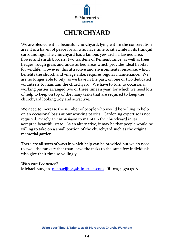

# **CHURCHYARD**

<span id="page-19-0"></span>We are blessed with a beautiful churchyard; lying within the conservation area it is a haven of peace for all who have time to sit awhile in its tranquil surroundings. The churchyard has a famous yew arch, a lawned area, flower and shrub borders, two Gardens of Remembrance, as well as trees, hedges, rough grass and undisturbed areas which provides ideal habitat for wildlife. However, this attractive and environmental resource, which benefits the church and village alike, requires regular maintenance. We are no longer able to rely, as we have in the past, on one or two dedicated volunteers to maintain the churchyard. We have to turn to occasional working parties arranged two or three times a year, for which we need lots of help to keep on top of the many tasks that are required to keep the churchyard looking tidy and attractive.

We need to increase the number of people who would be willing to help on an occasional basis at our working parties. Gardening expertise is not required, merely an enthusiasm to maintain the churchyard in its accepted beautiful state. As an alternative, it may be that people would be willing to take on a small portion of the churchyard such as the original memorial garden.

There are all sorts of ways in which help can be provided but we do need to swell the ranks rather than leave the tasks to the same few individuals who give their time so willingly.

#### *Who can I contact?*

Michael Burgess [michaeljb95@btinternet.com](mailto:michaeljb95@btinternet.com)  $\bullet$  0794 979 9716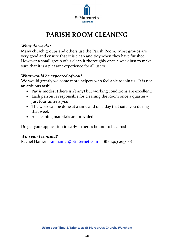

# **PARISH ROOM CLEANING**

### <span id="page-20-0"></span>*What do we do?*

Many church groups and others use the Parish Room. Most groups are very good and ensure that it is clean and tidy when they have finished. However a small group of us clean it thoroughly once a week just to make sure that it is a pleasant experience for all users.

# *What would be expected of you?*

We would greatly welcome more helpers who feel able to join us. It is not an arduous task!

- Pay is modest (there isn't any) but working conditions are excellent:
- Each person is responsible for cleaning the Room once a quarter just four times a year
- The work can be done at a time and on a day that suits you during that week
- All cleaning materials are provided

Do get your application in early – there's bound to be a rush.

# *Who can I contact?*

Rachel Hamer [r.m.hamer@btinternet.com](mailto:r.m.hamer@btinternet.com)  01403 265088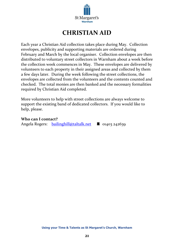

# **CHRISTIAN AID**

<span id="page-21-0"></span>Each year a Christian Aid collection takes place during May. Collection envelopes, publicity and supporting materials are ordered during February and March by the local organiser. Collection envelopes are then distributed to voluntary street collectors in Warnham about a week before the collection week commences in May. These envelopes are delivered by volunteers to each property in their assigned areas and collected by them a few days later. During the week following the street collections, the envelopes are collected from the volunteers and the contents counted and checked. The total monies are then banked and the necessary formalities required by Christian Aid completed.

More volunteers to help with street collections are always welcome to support the existing band of dedicated collectors. If you would like to help, please.

#### **Who can I contact?**

Angela Rogers:  $\frac{\text{bailinghill@taltalk.net}}{\text{bailinghill@taltalk.net}}$  **6** 01403 242639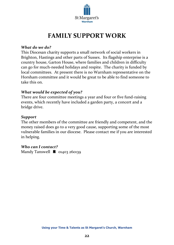

# **FAMILY SUPPORT WORK**

#### <span id="page-22-0"></span>*What do we do?*

This Diocesan charity supports a small network of social workers in Brighton, Hastings and other parts of Sussex. Its flagship enterprise is a country house, Garton House, where families and children in difficulty can go for much-needed holidays and respite. The charity is funded by local committees. At present there is no Warnham representative on the Horsham committee and it would be great to be able to find someone to take this on.

### *What would be expected of you?*

There are four committee meetings a year and four or five fund-raising events, which recently have included a garden party, a concert and a bridge drive.

#### *Support*

The other members of the committee are friendly and competent, and the money raised does go to a very good cause, supporting some of the most vulnerable families in our diocese. Please contact me if you are interested in helping.

# *Who can I contact?*

Mandy Tanswell  $\triangleq$  01403 260139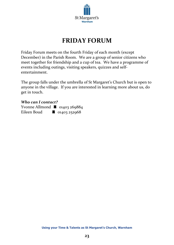

# **FRIDAY FORUM**

<span id="page-23-0"></span>Friday Forum meets on the fourth Friday of each month (except December) in the Parish Room. We are a group of senior citizens who meet together for friendship and a cup of tea. We have a programme of events including outings, visiting speakers, quizzes and selfentertainment.

The group falls under the umbrella of St Margaret's Church but is open to anyone in the village. If you are interested in learning more about us, do get in touch.

#### *Who can I contact?*

Yvonne Allmond  $\bullet$  01403 269884 Eileen Boud  $\bullet$  01403 252968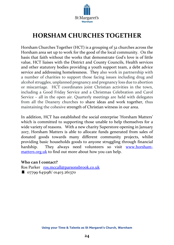

# <span id="page-24-0"></span>**HORSHAM CHURCHES TOGETHER**

Horsham Churches Together (HCT) is a grouping of 32 churches across the Horsham area set up to work for the good of the local community. On the basis that faith without the works that demonstrate God's love is of little value, HCT liaises with the District and County Councils, Health services and other statutory bodies providing a youth support team, a debt advice service and addressing homelessness. They also work in partnership with a number of charities to support those facing issues including drug and alcohol struggles, unplanned pregnancy and pregnancy loss due to abortion or miscarriage. HCT coordinates joint Christian activities in the town, including a Good Friday Service and a Christmas Celebration and Carol Service – all in the open air. Quarterly meetings are held with delegates from all the Deanery churches to share ideas and work together, thus maintaining the cohesive strength of Christian witness in our area.

In addition, HCT has established the social enterprise 'Horsham Matters' which is committed to supporting those unable to help themselves for a wide variety of reasons. With a new charity Superstore opening in January 2017, Horsham Matters is able to allocate funds generated from sales of donated goods towards many different community projects, whilst providing basic households goods to anyone struggling through financial hardship. They always need volunteers so visit [www.horsham](http://www.horsham-matters.org.uk/)[matters.org.uk](http://www.horsham-matters.org.uk/) to find out more about how you can help.

#### **Who can I contact?**

Ros Parker [ros.mccall@parsonsbrook.co.uk](mailto:ros.mccall@parsonsbrook.co.uk)   $\bullet$  07799 645198/ 01403 261370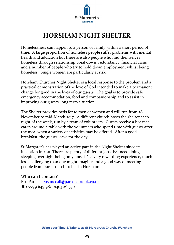

# **HORSHAM NIGHT SHELTER**

<span id="page-25-0"></span>Homelessness can happen to a person or family within a short period of time. A large proportion of homeless people suffer problems with mental health and addiction but there are also people who find themselves homeless through relationship breakdown, redundancy, financial crisis and a number of people who try to hold down employment whilst being homeless. Single women are particularly at risk.

Horsham Churches Night Shelter is a local response to the problem and a practical demonstration of the love of God intended to make a permanent change for good in the lives of our guests. The goal is to provide safe emergency accommodation, food and companionship and to assist in improving our guests' long term situation.

The Shelter provides beds for 10 men or women and will run from 28 November to mid-March 2017. A different church hosts the shelter each night of the week, run by a team of volunteers. Guests receive a hot meal eaten around a table with the volunteers who spend time with guests after the meal when a variety of activities may be offered. After a good breakfast, the guests leave for the day.

St Margaret's has played an active part in the Night Shelter since its inception in 2011. There are plenty of different jobs that need doing, sleeping overnight being only one. It's a very rewarding experience, much less challenging than one might imagine and a good way of meeting people from our sister churches in Horsham.

# **Who can I contact?**

Ros Parker [ros.mccall@parsonsbrook.co.uk](mailto:ros.mccall@parsonsbrook.co.uk)  07799 645198/ 01403 261370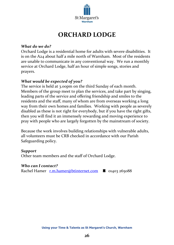

# **ORCHARD LODGE**

### <span id="page-26-0"></span>*What do we do?*

Orchard Lodge is a residential home for adults with severe disabilities. It is on the A24 about half a mile north of Warnham. Most of the residents are unable to communicate in any conventional way. We run a monthly service at Orchard Lodge, half an hour of simple songs, stories and prayers.

# *What would be expected of you?*

The service is held at 3.00pm on the third Sunday of each month. Members of the group meet to plan the services, and take part by singing, leading parts of the service and offering friendship and smiles to the residents and the staff, many of whom are from overseas working a long way from their own homes and families. Working with people as severely disabled as these is not right for everybody, but if you have the right gifts, then you will find it an immensely rewarding and moving experience to pray with people who are largely forgotten by the mainstream of society.

Because the work involves building relationships with vulnerable adults, all volunteers must be CRB checked in accordance with our Parish Safeguarding policy.

#### *Support*

Other team members and the staff of Orchard Lodge.

#### *Who can I contact?*

Rachel Hamer [r.m.hamer@btinternet.com](mailto:r.m.hamer@btinternet.com)  $\bullet$  01403 265088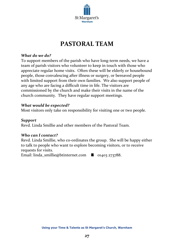

# **PASTORAL TEAM**

### <span id="page-27-0"></span>*What do we do?*

To support members of the parish who have long-term needs, we have a team of parish visitors who volunteer to keep in touch with those who appreciate regular home visits. Often these will be elderly or housebound people, those convalescing after illness or surgery, or bereaved people with limited support from their own families. We also support people of any age who are facing a difficult time in life. The visitors are commissioned by the church and make their visits in the name of the church community. They have regular support meetings.

#### *What would be expected?*

Most visitors only take on responsibility for visiting one or two people.

### *Support*

Revd. Linda Smillie and other members of the Pastoral Team.

#### *Who can I contact?*

Revd. Linda Smillie, who co-ordinates the group. She will be happy either to talk to people who want to explore becoming visitors, or to receive requests for visits.

Email: linda\_smillie@btinternet.com  $\bullet$  01403 273788.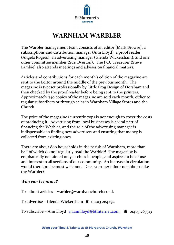

# **WARNHAM WARBLER**

<span id="page-28-0"></span>The Warbler management team consists of an editor (Mark Browse), a subscriptions and distribution manager (Ann Lloyd), a proof reader (Angela Rogers), an advertising manager (Glenda Wickersham), and one other committee member (Sue Overton). The PCC Treasurer (Steve Lambie) also attends meetings and advises on financial matters.

Articles and contributions for each month's edition of the magazine are sent to the Editor around the middle of the previous month. The magazine is typeset professionally by Little Frog Design of Horsham and then checked by the proof reader before being sent to the printers. Approximately 340 copies of the magazine are sold each month, either to regular subscribers or through sales in Warnham Village Stores and the Church.

The price of the magazine (currently 70p) is not enough to cover the costs of producing it. Advertising from local businesses is a vital part of financing the Warbler, and the role of the advertising manager is indispensable in finding new advertisers and ensuring that money is collected from existing ones.

There are about 800 households in the parish of Warnham, more than half of which do not regularly read the Warbler! The magazine is emphatically not aimed only at church people, and aspires to be of use and interest to all sections of our community. An increase in circulation would therefore be most welcome. Does your next-door neighbour take the Warbler?

# *Who can I contact?*

To submit articles – warbler@warnhamchurch.co.uk

To advertise – Glenda Wickersham  $\bullet$  01403 264292

To subscribe – Ann Lloyd [m.annlloyd@btinternet.com](mailto:m.annlloyd@btinternet.com)  $\bullet$  01403 267513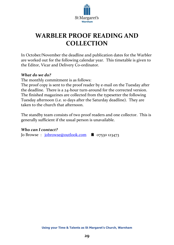

# <span id="page-29-0"></span>**WARBLER PROOF READING AND COLLECTION**

In October/November the deadline and publication dates for the Warbler are worked out for the following calendar year. This timetable is given to the Editor, Vicar and Delivery Co-ordinator.

### *What do we do?*

The monthly commitment is as follows:

The proof copy is sent to the proof reader by e-mail on the Tuesday after the deadline. There is a 24-hour turn-around for the corrected version. The finished magazines are collected from the typesetter the following Tuesday afternoon (i.e. 10 days after the Saturday deadline). They are taken to the church that afternoon.

The standby team consists of two proof readers and one collector. This is generally sufficient if the usual person is unavailable.

# *Who can I contact?*

Jo Browse :  $\frac{\text{iobrowse@outlook.com}}{\text{iobrowse}}$  07530 123473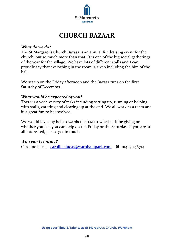

# **CHURCH BAZAAR**

#### <span id="page-30-0"></span>*What do we do?*

The St Margaret's Church Bazaar is an annual fundraising event for the church, but so much more than that. It is one of the big social gatherings of the year for the village. We have lots of different stalls and I can proudly say that everything in the room is given including the hire of the hall.

We set up on the Friday afternoon and the Bazaar runs on the first Saturday of December.

#### *What would be expected of you?*

There is a wide variety of tasks including setting up, running or helping with stalls, catering and clearing up at the end. We all work as a team and it is great fun to be involved.

We would love any help towards the bazaar whether it be giving or whether you feel you can help on the Friday or the Saturday. If you are at all interested, please get in touch.

# *Who can I contact?*

Caroline Lucas [caroline.lucas@warnhampark.com](mailto:caroline.lucas@warnhampark.com)  $\bullet$  01403 256713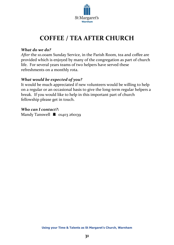

# **COFFEE / TEA AFTER CHURCH**

### <span id="page-31-0"></span>*What do we do?*

*After* the 10.00am Sunday Service, in the Parish Room, tea and coffee are provided which is enjoyed by many of the congregation as part of church life. For several years teams of two helpers have served these refreshments on a monthly rota.

# *What would be expected of you?*

It would be much appreciated if new volunteers would be willing to help on a regular or an occasional basis to give the long-term regular helpers a break. If you would like to help in this important part of church fellowship please get in touch.

### *Who can I contact?***:**

Mandy Tanswell  $\bullet$  01403 260139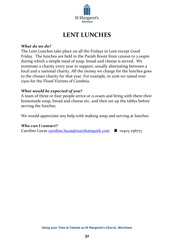

# **LENT LUNCHES**

#### <span id="page-32-0"></span>*What do we do?*

The Lent Lunches take place on all the Fridays in Lent except Good Friday. The lunches are held in the Parish Room from 12noon to 2.00pm during which a simple meal of soup, bread and cheese is served. We nominate a charity every year to support, usually alternating between a local and a national charity. All the money we charge for the lunches goes to the chosen charity for that year. For example, in 2016 we raised over £500 for the Flood Victims of Cumbria.

### *What would be expected of you?*

A team of three or four people arrive at 11.00am and bring with them their homemade soup, bread and cheese etc, and then set up the tables before serving the lunches.

We would appreciate any help with making soup and serving at lunches.

#### *Who can I contact?*

Caroline Lucas [caroline.lucas@warnhampark.com](mailto:caroline.lucas@warnhampark.com)  $\bullet$  01403 256713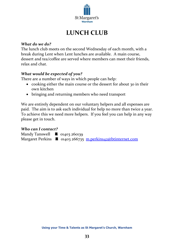

# **LUNCH CLUB**

### <span id="page-33-0"></span>*What do we do?*

The lunch club meets on the second Wednesday of each month, with a break during Lent when Lent lunches are available. A main course, dessert and tea/coffee are served where members can meet their friends, relax and chat.

# *What would be expected of you?*

There are a number of ways in which people can help:

- cooking either the main course or the dessert for about 30 in their own kitchen
- bringing and returning members who need transport

We are entirely dependent on our voluntary helpers and all expenses are paid. The aim is to ask each individual for help no more than twice a year. To achieve this we need more helpers. If you feel you can help in any way please get in touch.

# *Who can I contact?*

Mandy Tanswell  $\bullet$  01403 260139 Margaret Perkins  $\bullet$  01403 266735 [m.perkins42@btinternet.com](mailto:m.perkins42@btinternet.com)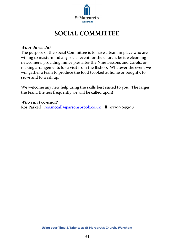

# **SOCIAL COMMITTEE**

#### <span id="page-34-0"></span>*What do we do?*

The purpose of the Social Committee is to have a team in place who are willing to mastermind any social event for the church, be it welcoming newcomers, providing mince pies after the Nine Lessons and Carols, or making arrangements for a visit from the Bishop. Whatever the event we will gather a team to produce the food (cooked at home or bought), to serve and to wash up.

We welcome any new help using the skills best suited to you. The larger the team, the less frequently we will be called upon!

### *Who can I contact?*

Ros Parkerl  $\frac{ros.mccall@parsonsbrook.co.uk}{3}$  07799 645198